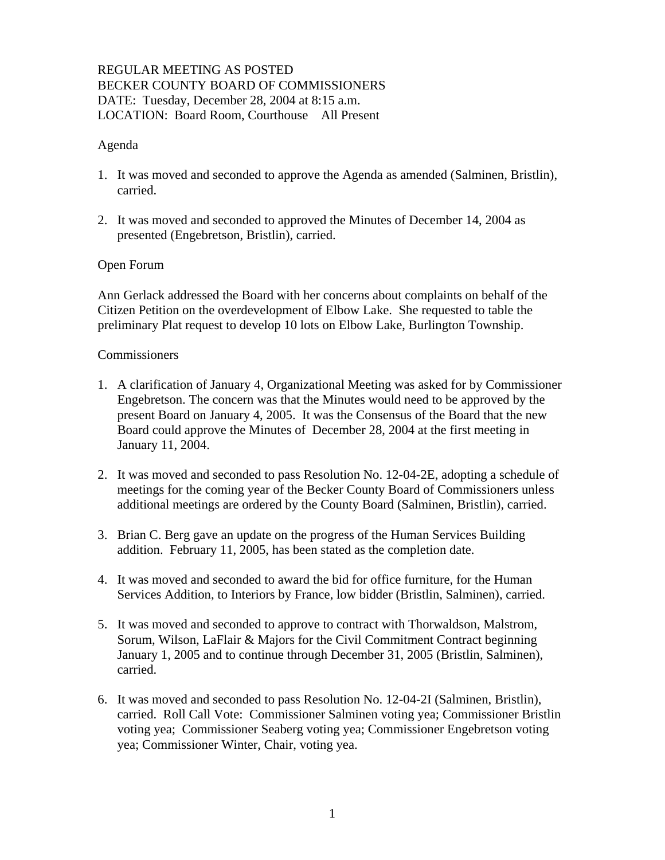# REGULAR MEETING AS POSTED BECKER COUNTY BOARD OF COMMISSIONERS DATE: Tuesday, December 28, 2004 at 8:15 a.m. LOCATION: Board Room, Courthouse All Present

### Agenda

- 1. It was moved and seconded to approve the Agenda as amended (Salminen, Bristlin), carried.
- 2. It was moved and seconded to approved the Minutes of December 14, 2004 as presented (Engebretson, Bristlin), carried.

### Open Forum

Ann Gerlack addressed the Board with her concerns about complaints on behalf of the Citizen Petition on the overdevelopment of Elbow Lake. She requested to table the preliminary Plat request to develop 10 lots on Elbow Lake, Burlington Township.

#### Commissioners

- 1. A clarification of January 4, Organizational Meeting was asked for by Commissioner Engebretson. The concern was that the Minutes would need to be approved by the present Board on January 4, 2005. It was the Consensus of the Board that the new Board could approve the Minutes of December 28, 2004 at the first meeting in January 11, 2004.
- 2. It was moved and seconded to pass Resolution No. 12-04-2E, adopting a schedule of meetings for the coming year of the Becker County Board of Commissioners unless additional meetings are ordered by the County Board (Salminen, Bristlin), carried.
- 3. Brian C. Berg gave an update on the progress of the Human Services Building addition. February 11, 2005, has been stated as the completion date.
- 4. It was moved and seconded to award the bid for office furniture, for the Human Services Addition, to Interiors by France, low bidder (Bristlin, Salminen), carried.
- 5. It was moved and seconded to approve to contract with Thorwaldson, Malstrom, Sorum, Wilson, LaFlair & Majors for the Civil Commitment Contract beginning January 1, 2005 and to continue through December 31, 2005 (Bristlin, Salminen), carried.
- 6. It was moved and seconded to pass Resolution No. 12-04-2I (Salminen, Bristlin), carried. Roll Call Vote: Commissioner Salminen voting yea; Commissioner Bristlin voting yea; Commissioner Seaberg voting yea; Commissioner Engebretson voting yea; Commissioner Winter, Chair, voting yea.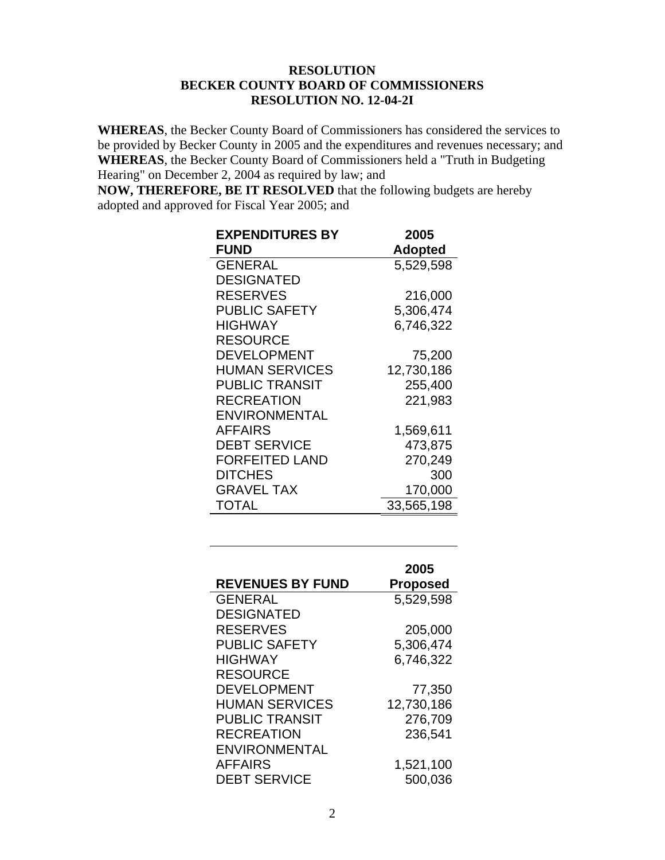#### **RESOLUTION BECKER COUNTY BOARD OF COMMISSIONERS RESOLUTION NO. 12-04-2I**

**WHEREAS**, the Becker County Board of Commissioners has considered the services to be provided by Becker County in 2005 and the expenditures and revenues necessary; and **WHEREAS**, the Becker County Board of Commissioners held a "Truth in Budgeting Hearing" on December 2, 2004 as required by law; and

**NOW, THEREFORE, BE IT RESOLVED** that the following budgets are hereby adopted and approved for Fiscal Year 2005; and

| <b>EXPENDITURES BY</b> | 2005       |
|------------------------|------------|
| <b>FUND</b>            | Adopted    |
| <b>GENERAL</b>         | 5,529,598  |
| <b>DESIGNATED</b>      |            |
| <b>RESERVES</b>        | 216,000    |
| <b>PUBLIC SAFETY</b>   | 5,306,474  |
| <b>HIGHWAY</b>         | 6,746,322  |
| <b>RESOURCE</b>        |            |
| <b>DEVELOPMENT</b>     | 75,200     |
| <b>HUMAN SERVICES</b>  | 12,730,186 |
| <b>PUBLIC TRANSIT</b>  | 255,400    |
| <b>RECREATION</b>      | 221,983    |
| <b>ENVIRONMENTAL</b>   |            |
| <b>AFFAIRS</b>         | 1,569,611  |
| <b>DEBT SERVICE</b>    | 473,875    |
| <b>FORFEITED LAND</b>  | 270,249    |
| <b>DITCHES</b>         | 300        |
| <b>GRAVEL TAX</b>      | 170,000    |
| TOTAL                  | 33,565,198 |

| <b>REVENUES BY FUND</b> | 2005<br><b>Proposed</b> |
|-------------------------|-------------------------|
| <b>GENERAL</b>          | 5,529,598               |
| <b>DESIGNATED</b>       |                         |
| <b>RESERVES</b>         | 205,000                 |
| <b>PUBLIC SAFETY</b>    | 5,306,474               |
| <b>HIGHWAY</b>          | 6,746,322               |
| <b>RESOURCE</b>         |                         |
| <b>DEVELOPMENT</b>      | 77,350                  |
| <b>HUMAN SERVICES</b>   | 12,730,186              |
| <b>PUBLIC TRANSIT</b>   | 276,709                 |
| <b>RECREATION</b>       | 236,541                 |
| <b>ENVIRONMENTAL</b>    |                         |
| <b>AFFAIRS</b>          | 1,521,100               |
| <b>DEBT SERVICE</b>     | 500,036                 |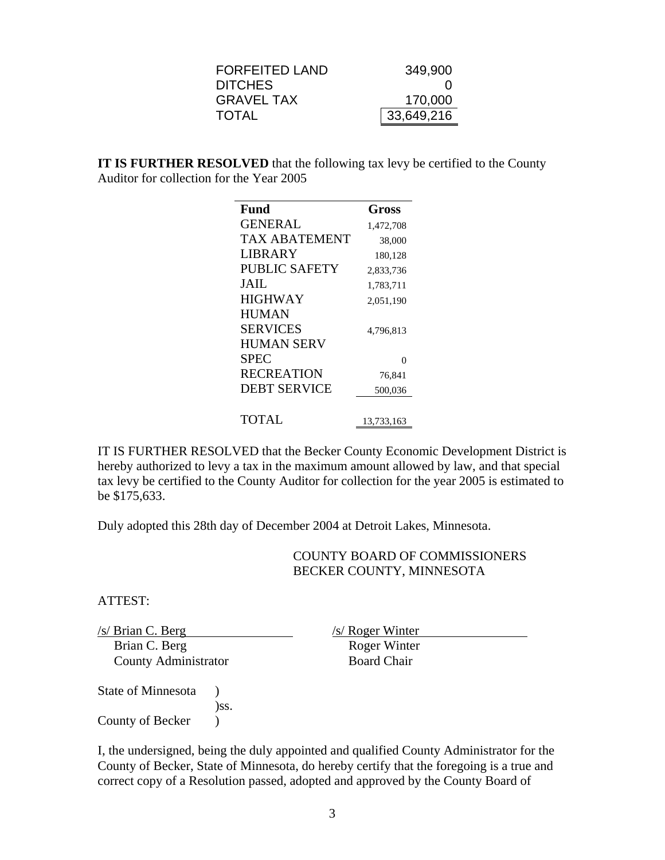| <b>FORFEITED LAND</b> | 349,900          |
|-----------------------|------------------|
| <b>DITCHES</b>        | $\left( \right)$ |
| <b>GRAVEL TAX</b>     | 170,000          |
| <b>TOTAL</b>          | 33,649,216       |

**IT IS FURTHER RESOLVED** that the following tax levy be certified to the County Auditor for collection for the Year 2005

| Fund                 | Gross      |
|----------------------|------------|
| <b>GENERAL</b>       | 1,472,708  |
| <b>TAX ABATEMENT</b> | 38,000     |
| LIBRARY              | 180,128    |
| <b>PUBLIC SAFETY</b> | 2,833,736  |
| JAIL.                | 1,783,711  |
| <b>HIGHWAY</b>       | 2,051,190  |
| <b>HUMAN</b>         |            |
| <b>SERVICES</b>      | 4,796,813  |
| <b>HUMAN SERV</b>    |            |
| <b>SPEC</b>          | 0          |
| <b>RECREATION</b>    | 76,841     |
| <b>DEBT SERVICE</b>  | 500,036    |
|                      |            |
| TOTAL                | 13,733,163 |

IT IS FURTHER RESOLVED that the Becker County Economic Development District is hereby authorized to levy a tax in the maximum amount allowed by law, and that special tax levy be certified to the County Auditor for collection for the year 2005 is estimated to be \$175,633.

Duly adopted this 28th day of December 2004 at Detroit Lakes, Minnesota.

## COUNTY BOARD OF COMMISSIONERS BECKER COUNTY, MINNESOTA

ATTEST:

*(s/ Brian C. Berg /s/ Roger Winter Brian C. Berg /s/ Roger Winter Roger Winter Roger Winter* Brian C. Berg County Administrator Board Chair

State of Minnesota ) )ss. County of Becker (b)

I, the undersigned, being the duly appointed and qualified County Administrator for the County of Becker, State of Minnesota, do hereby certify that the foregoing is a true and correct copy of a Resolution passed, adopted and approved by the County Board of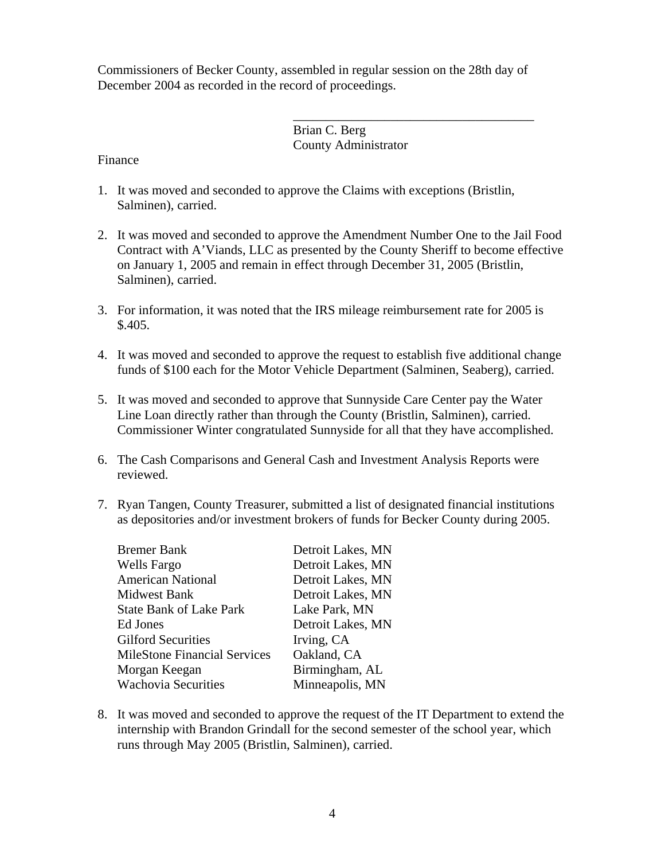Commissioners of Becker County, assembled in regular session on the 28th day of December 2004 as recorded in the record of proceedings.

 $\overline{\phantom{a}}$  , and the contract of the contract of the contract of the contract of the contract of the contract of the contract of the contract of the contract of the contract of the contract of the contract of the contrac

 Brian C. Berg County Administrator

Finance

- 1. It was moved and seconded to approve the Claims with exceptions (Bristlin, Salminen), carried.
- 2. It was moved and seconded to approve the Amendment Number One to the Jail Food Contract with A'Viands, LLC as presented by the County Sheriff to become effective on January 1, 2005 and remain in effect through December 31, 2005 (Bristlin, Salminen), carried.
- 3. For information, it was noted that the IRS mileage reimbursement rate for 2005 is \$.405.
- 4. It was moved and seconded to approve the request to establish five additional change funds of \$100 each for the Motor Vehicle Department (Salminen, Seaberg), carried.
- 5. It was moved and seconded to approve that Sunnyside Care Center pay the Water Line Loan directly rather than through the County (Bristlin, Salminen), carried. Commissioner Winter congratulated Sunnyside for all that they have accomplished.
- 6. The Cash Comparisons and General Cash and Investment Analysis Reports were reviewed.
- 7. Ryan Tangen, County Treasurer, submitted a list of designated financial institutions as depositories and/or investment brokers of funds for Becker County during 2005.

| <b>Bremer Bank</b>                  | Detroit Lakes, MN |
|-------------------------------------|-------------------|
| Wells Fargo                         | Detroit Lakes, MN |
| <b>American National</b>            | Detroit Lakes, MN |
| <b>Midwest Bank</b>                 | Detroit Lakes, MN |
| <b>State Bank of Lake Park</b>      | Lake Park, MN     |
| Ed Jones                            | Detroit Lakes, MN |
| <b>Gilford Securities</b>           | Irving, CA        |
| <b>MileStone Financial Services</b> | Oakland, CA       |
| Morgan Keegan                       | Birmingham, AL    |
| <b>Wachovia Securities</b>          | Minneapolis, MN   |

8. It was moved and seconded to approve the request of the IT Department to extend the internship with Brandon Grindall for the second semester of the school year, which runs through May 2005 (Bristlin, Salminen), carried.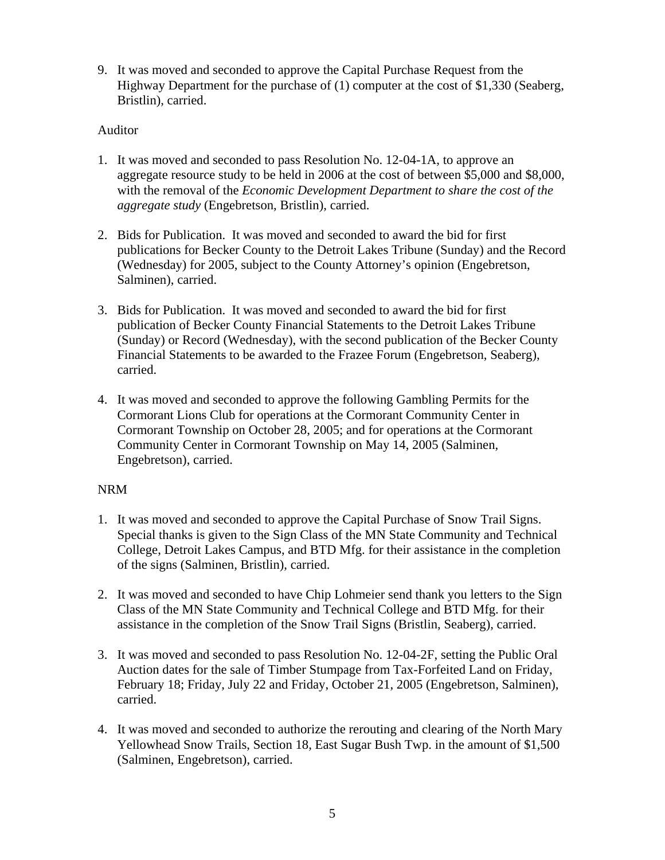9. It was moved and seconded to approve the Capital Purchase Request from the Highway Department for the purchase of (1) computer at the cost of \$1,330 (Seaberg, Bristlin), carried.

# Auditor

- 1. It was moved and seconded to pass Resolution No. 12-04-1A, to approve an aggregate resource study to be held in 2006 at the cost of between \$5,000 and \$8,000, with the removal of the *Economic Development Department to share the cost of the aggregate study* (Engebretson, Bristlin), carried.
- 2. Bids for Publication. It was moved and seconded to award the bid for first publications for Becker County to the Detroit Lakes Tribune (Sunday) and the Record (Wednesday) for 2005, subject to the County Attorney's opinion (Engebretson, Salminen), carried.
- 3. Bids for Publication. It was moved and seconded to award the bid for first publication of Becker County Financial Statements to the Detroit Lakes Tribune (Sunday) or Record (Wednesday), with the second publication of the Becker County Financial Statements to be awarded to the Frazee Forum (Engebretson, Seaberg), carried.
- 4. It was moved and seconded to approve the following Gambling Permits for the Cormorant Lions Club for operations at the Cormorant Community Center in Cormorant Township on October 28, 2005; and for operations at the Cormorant Community Center in Cormorant Township on May 14, 2005 (Salminen, Engebretson), carried.

# NRM

- 1. It was moved and seconded to approve the Capital Purchase of Snow Trail Signs. Special thanks is given to the Sign Class of the MN State Community and Technical College, Detroit Lakes Campus, and BTD Mfg. for their assistance in the completion of the signs (Salminen, Bristlin), carried.
- 2. It was moved and seconded to have Chip Lohmeier send thank you letters to the Sign Class of the MN State Community and Technical College and BTD Mfg. for their assistance in the completion of the Snow Trail Signs (Bristlin, Seaberg), carried.
- 3. It was moved and seconded to pass Resolution No. 12-04-2F, setting the Public Oral Auction dates for the sale of Timber Stumpage from Tax-Forfeited Land on Friday, February 18; Friday, July 22 and Friday, October 21, 2005 (Engebretson, Salminen), carried.
- 4. It was moved and seconded to authorize the rerouting and clearing of the North Mary Yellowhead Snow Trails, Section 18, East Sugar Bush Twp. in the amount of \$1,500 (Salminen, Engebretson), carried.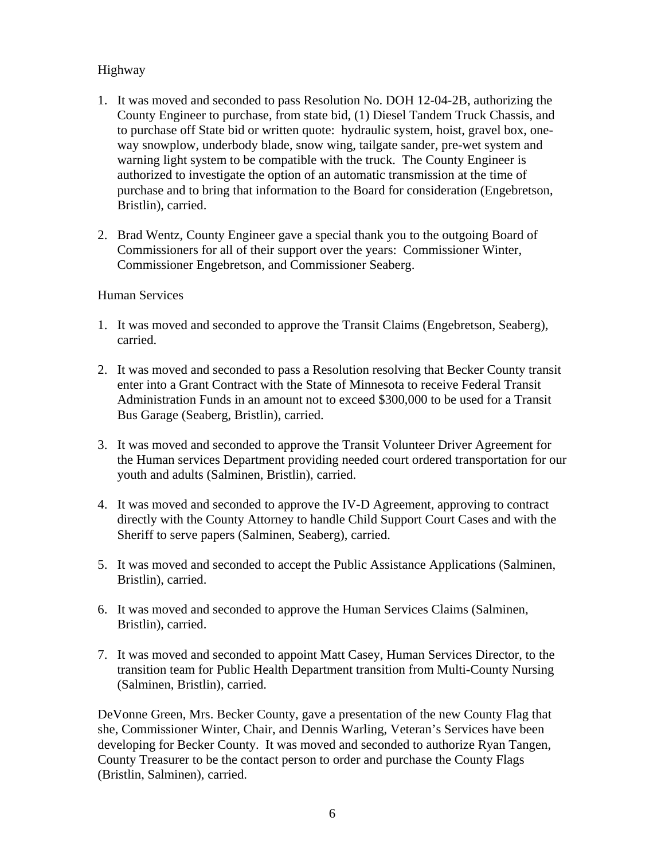# Highway

- 1. It was moved and seconded to pass Resolution No. DOH 12-04-2B, authorizing the County Engineer to purchase, from state bid, (1) Diesel Tandem Truck Chassis, and to purchase off State bid or written quote: hydraulic system, hoist, gravel box, oneway snowplow, underbody blade, snow wing, tailgate sander, pre-wet system and warning light system to be compatible with the truck. The County Engineer is authorized to investigate the option of an automatic transmission at the time of purchase and to bring that information to the Board for consideration (Engebretson, Bristlin), carried.
- 2. Brad Wentz, County Engineer gave a special thank you to the outgoing Board of Commissioners for all of their support over the years: Commissioner Winter, Commissioner Engebretson, and Commissioner Seaberg.

### Human Services

- 1. It was moved and seconded to approve the Transit Claims (Engebretson, Seaberg), carried.
- 2. It was moved and seconded to pass a Resolution resolving that Becker County transit enter into a Grant Contract with the State of Minnesota to receive Federal Transit Administration Funds in an amount not to exceed \$300,000 to be used for a Transit Bus Garage (Seaberg, Bristlin), carried.
- 3. It was moved and seconded to approve the Transit Volunteer Driver Agreement for the Human services Department providing needed court ordered transportation for our youth and adults (Salminen, Bristlin), carried.
- 4. It was moved and seconded to approve the IV-D Agreement, approving to contract directly with the County Attorney to handle Child Support Court Cases and with the Sheriff to serve papers (Salminen, Seaberg), carried.
- 5. It was moved and seconded to accept the Public Assistance Applications (Salminen, Bristlin), carried.
- 6. It was moved and seconded to approve the Human Services Claims (Salminen, Bristlin), carried.
- 7. It was moved and seconded to appoint Matt Casey, Human Services Director, to the transition team for Public Health Department transition from Multi-County Nursing (Salminen, Bristlin), carried.

DeVonne Green, Mrs. Becker County, gave a presentation of the new County Flag that she, Commissioner Winter, Chair, and Dennis Warling, Veteran's Services have been developing for Becker County. It was moved and seconded to authorize Ryan Tangen, County Treasurer to be the contact person to order and purchase the County Flags (Bristlin, Salminen), carried.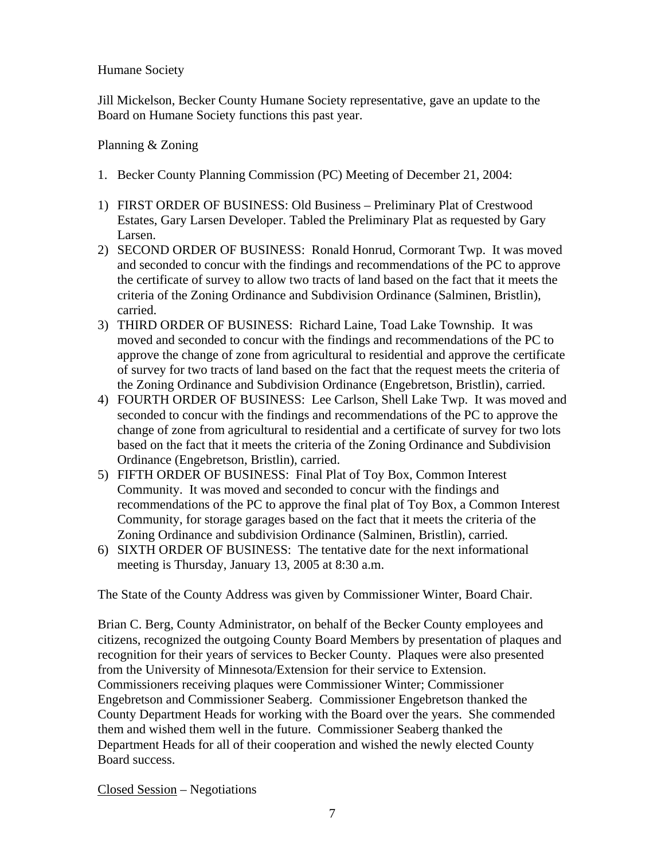# Humane Society

Jill Mickelson, Becker County Humane Society representative, gave an update to the Board on Humane Society functions this past year.

Planning & Zoning

- 1. Becker County Planning Commission (PC) Meeting of December 21, 2004:
- 1) FIRST ORDER OF BUSINESS: Old Business Preliminary Plat of Crestwood Estates, Gary Larsen Developer. Tabled the Preliminary Plat as requested by Gary Larsen.
- 2) SECOND ORDER OF BUSINESS: Ronald Honrud, Cormorant Twp. It was moved and seconded to concur with the findings and recommendations of the PC to approve the certificate of survey to allow two tracts of land based on the fact that it meets the criteria of the Zoning Ordinance and Subdivision Ordinance (Salminen, Bristlin), carried.
- 3) THIRD ORDER OF BUSINESS: Richard Laine, Toad Lake Township. It was moved and seconded to concur with the findings and recommendations of the PC to approve the change of zone from agricultural to residential and approve the certificate of survey for two tracts of land based on the fact that the request meets the criteria of the Zoning Ordinance and Subdivision Ordinance (Engebretson, Bristlin), carried.
- 4) FOURTH ORDER OF BUSINESS: Lee Carlson, Shell Lake Twp. It was moved and seconded to concur with the findings and recommendations of the PC to approve the change of zone from agricultural to residential and a certificate of survey for two lots based on the fact that it meets the criteria of the Zoning Ordinance and Subdivision Ordinance (Engebretson, Bristlin), carried.
- 5) FIFTH ORDER OF BUSINESS: Final Plat of Toy Box, Common Interest Community. It was moved and seconded to concur with the findings and recommendations of the PC to approve the final plat of Toy Box, a Common Interest Community, for storage garages based on the fact that it meets the criteria of the Zoning Ordinance and subdivision Ordinance (Salminen, Bristlin), carried.
- 6) SIXTH ORDER OF BUSINESS: The tentative date for the next informational meeting is Thursday, January 13, 2005 at 8:30 a.m.

The State of the County Address was given by Commissioner Winter, Board Chair.

Brian C. Berg, County Administrator, on behalf of the Becker County employees and citizens, recognized the outgoing County Board Members by presentation of plaques and recognition for their years of services to Becker County. Plaques were also presented from the University of Minnesota/Extension for their service to Extension. Commissioners receiving plaques were Commissioner Winter; Commissioner Engebretson and Commissioner Seaberg. Commissioner Engebretson thanked the County Department Heads for working with the Board over the years. She commended them and wished them well in the future. Commissioner Seaberg thanked the Department Heads for all of their cooperation and wished the newly elected County Board success.

Closed Session – Negotiations